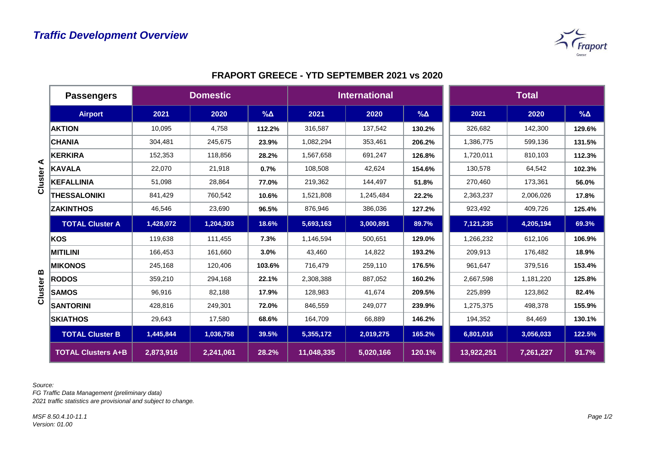

|              | <b>Passengers</b>         | <b>Domestic</b> |           |             |            | <b>International</b> |            | <b>Total</b> |           |            |
|--------------|---------------------------|-----------------|-----------|-------------|------------|----------------------|------------|--------------|-----------|------------|
|              | <b>Airport</b>            | 2021            | 2020      | $\% \Delta$ | 2021       | 2020                 | $% \Delta$ | 2021         | 2020      | $% \Delta$ |
| Œ<br>luster  | <b>AKTION</b>             | 10,095          | 4,758     | 112.2%      | 316,587    | 137,542              | 130.2%     | 326,682      | 142,300   | 129.6%     |
|              | <b>CHANIA</b>             | 304,481         | 245,675   | 23.9%       | 1,082,294  | 353,461              | 206.2%     | 1,386,775    | 599,136   | 131.5%     |
|              | <b>KERKIRA</b>            | 152,353         | 118,856   | 28.2%       | 1,567,658  | 691,247              | 126.8%     | 1,720,011    | 810,103   | 112.3%     |
|              | <b>KAVALA</b>             | 22,070          | 21,918    | 0.7%        | 108,508    | 42,624               | 154.6%     | 130,578      | 64,542    | 102.3%     |
|              | <b>KEFALLINIA</b>         | 51,098          | 28,864    | 77.0%       | 219,362    | 144,497              | 51.8%      | 270,460      | 173,361   | 56.0%      |
|              | <b>THESSALONIKI</b>       | 841,429         | 760,542   | 10.6%       | 1,521,808  | 1,245,484            | 22.2%      | 2,363,237    | 2,006,026 | 17.8%      |
|              | <b>ZAKINTHOS</b>          | 46,546          | 23,690    | 96.5%       | 876,946    | 386,036              | 127.2%     | 923,492      | 409,726   | 125.4%     |
|              | <b>TOTAL Cluster A</b>    | 1,428,072       | 1,204,303 | 18.6%       | 5,693,163  | 3,000,891            | 89.7%      | 7,121,235    | 4,205,194 | 69.3%      |
|              | <b>KOS</b>                | 119,638         | 111,455   | 7.3%        | 1,146,594  | 500,651              | 129.0%     | 1,266,232    | 612,106   | 106.9%     |
|              | <b>MITILINI</b>           | 166,453         | 161,660   | 3.0%        | 43,460     | 14,822               | 193.2%     | 209,913      | 176,482   | 18.9%      |
| മ<br>Cluster | <b>MIKONOS</b>            | 245,168         | 120,406   | 103.6%      | 716,479    | 259,110              | 176.5%     | 961,647      | 379,516   | 153.4%     |
|              | <b>RODOS</b>              | 359,210         | 294,168   | 22.1%       | 2,308,388  | 887,052              | 160.2%     | 2,667,598    | 1,181,220 | 125.8%     |
|              | <b>SAMOS</b>              | 96,916          | 82,188    | 17.9%       | 128,983    | 41,674               | 209.5%     | 225,899      | 123,862   | 82.4%      |
|              | <b>SANTORINI</b>          | 428,816         | 249,301   | 72.0%       | 846,559    | 249,077              | 239.9%     | 1,275,375    | 498,378   | 155.9%     |
|              | <b>SKIATHOS</b>           | 29,643          | 17,580    | 68.6%       | 164,709    | 66,889               | 146.2%     | 194,352      | 84,469    | 130.1%     |
|              | <b>TOTAL Cluster B</b>    | 1,445,844       | 1,036,758 | 39.5%       | 5,355,172  | 2,019,275            | 165.2%     | 6,801,016    | 3,056,033 | 122.5%     |
|              | <b>TOTAL Clusters A+B</b> | 2,873,916       | 2,241,061 | 28.2%       | 11,048,335 | 5,020,166            | 120.1%     | 13,922,251   | 7,261,227 | 91.7%      |

## **FRAPORT GREECE - YTD SEPTEMBER 2021 vs 2020**

*Source:* 

*FG Traffic Data Management (preliminary data) 2021 traffic statistics are provisional and subject to change.*

*MSF 8.50.4.10-11.1 Version: 01.00*